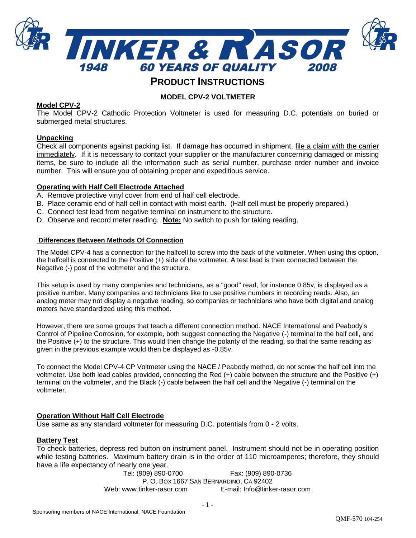

# **PRODUCT INSTRUCTIONS**

# **MODEL CPV-2 VOLTMETER**

# **Model CPV-2**

The Model CPV-2 Cathodic Protection Voltmeter is used for measuring D.C. potentials on buried or submerged metal structures.

## **Unpacking**

Check all components against packing list. If damage has occurred in shipment, file a claim with the carrier immediately. If it is necessary to contact your supplier or the manufacturer concerning damaged or missing items, be sure to include all the information such as serial number, purchase order number and invoice number. This will ensure you of obtaining proper and expeditious service.

## **Operating with Half Cell Electrode Attached**

- A. Remove protective vinyl cover from end of half cell electrode.
- B. Place ceramic end of half cell in contact with moist earth. (Half cell must be properly prepared.)
- C. Connect test lead from negative terminal on instrument to the structure.
- D. Observe and record meter reading. **Note:** No switch to push for taking reading.

#### **Differences Between Methods Of Connection**

The Model CPV-4 has a connection for the halfcell to screw into the back of the voltmeter. When using this option, the halfcell is connected to the Positive (+) side of the voltmeter. A test lead is then connected between the Negative (-) post of the voltmeter and the structure.

This setup is used by many companies and technicians, as a "good" read, for instance 0.85v, is displayed as a positive number. Many companies and technicians like to use positive numbers in recording reads. Also, an analog meter may not display a negative reading, so companies or technicians who have both digital and analog meters have standardized using this method.

However, there are some groups that teach a different connection method. NACE International and Peabody's Control of Pipeline Corrosion, for example, both suggest connecting the Negative (-) terminal to the half cell, and the Positive (+) to the structure. This would then change the polarity of the reading, so that the same reading as given in the previous example would then be displayed as -0.85v.

To connect the Model CPV-4 CP Voltmeter using the NACE / Peabody method, do not screw the half cell into the voltmeter. Use both lead cables provided, connecting the Red (+) cable between the structure and the Positive (+) terminal on the voltmeter, and the Black (-) cable between the half cell and the Negative (-) terminal on the voltmeter.

## **Operation Without Half Cell Electrode**

Use same as any standard voltmeter for measuring D.C. potentials from 0 - 2 volts.

## **Battery Test**

To check batteries, depress red button on instrument panel. Instrument should not be in operating position while testing batteries. Maximum battery drain is in the order of 110 microamperes; therefore, they should have a life expectancy of nearly one year.

> Tel: (909) 890-0700 Fax: (909) 890-0736 P. O. BOX 1667 SAN BERNARDINO, CA 92402 Web: www.tinker-rasor.com E-mail: Info@tinker-rasor.com